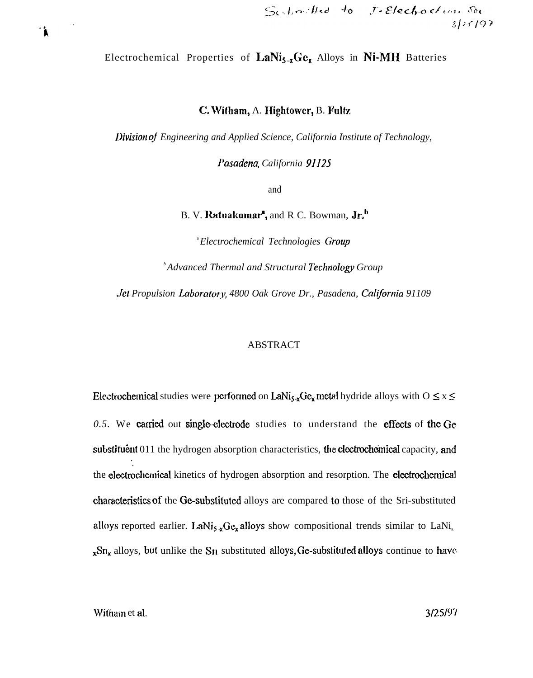Electrochemical Properties of LaNi<sub>5-x</sub>Ge<sub>x</sub> Alloys in Ni-MH Batteries

C. Witham, A. Hightower, B. Fultz

Division of Engineering and Applied Science, California Institute of Technology,

Pasadena, California 91125

and

B. V. Ratnakumar<sup>4</sup>, and R C. Bowman, Jr.<sup>b</sup>

*"Electrochemical Technologies Group* <sup>b</sup> Advanced Thermal and Structural Technology Group

Jet Propulsion Laboratory, 4800 Oak Grove Dr., Pasadena, California 91109

### **ABSTRACT**

Electrochemical studies were performed on LaNi<sub>s</sub>  $\chi$ Ge<sub>x</sub> metal hydride alloys with  $0 \le x \le$ 0.5. We carried out single-electrode studies to understand the effects of the Ge substituent 011 the hydrogen absorption characteristics, the electrochemical capacity, and the electrochemical kinetics of hydrogen absorption and resorption. The electrochemical characteristics of the Ge-substituted alloys are compared to those of the Sri-substituted alloys reported earlier. LaNi<sub>5</sub> xGe<sub>x</sub> alloys show compositional trends similar to LaNi<sub>5</sub>  $_{x}Sn_{x}$  alloys, but unlike the  $Sn$  substituted alloys, Ge-substituted alloys continue to have

Witham et al.

1.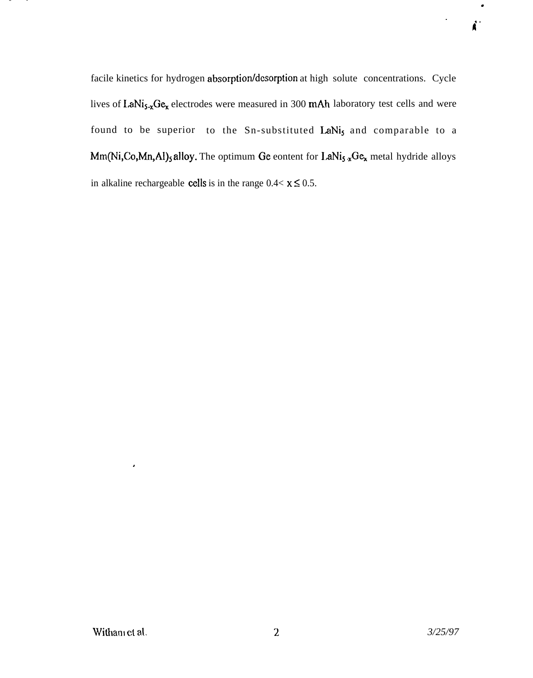facile kinetics for hydrogen absorption/desorption at high solute concentrations. Cycle lives of LaNi<sub>5-x</sub>Ge<sub>x</sub> electrodes were measured in 300 mAh laboratory test cells and were found to be superior to the Sn-substituted LaNis and comparable to a Mm(Ni,Co,Mn,Al)<sub>5</sub> alloy. The optimum Ge eontent for LaNi<sub>5</sub> xGe<sub>x</sub> metal hydride alloys in alkaline rechargeable **cells** is in the range  $0.4 < x \le 0.5$ .

 $\bullet$ 

п.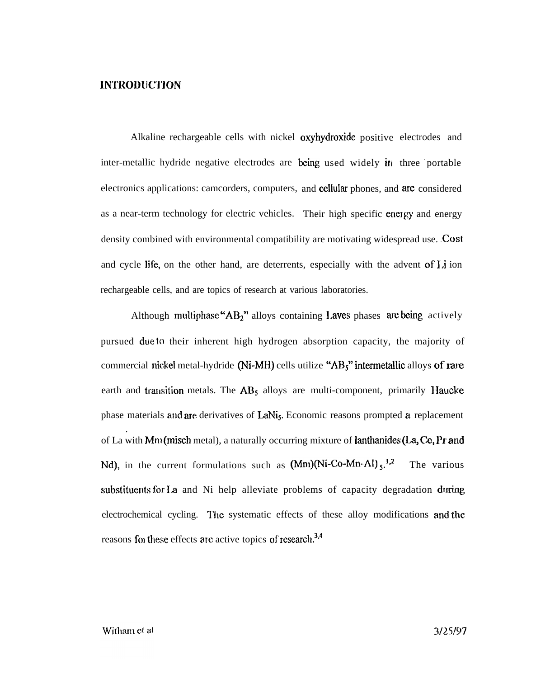# INTRODUCTION

Alkaline rechargeable cells with nickel oxyhydroxide positive electrodes and inter-metallic hydride negative electrodes are being used widely in three portable electronics applications: camcorders, computers, and cellular phones, and are considered as a near-term technology for electric vehicles. Their high specific energy and energy density combined with environmental compatibility are motivating widespread use. Cost and cycle life, on the other hand, are deterrents, especially with the advent of Li ion rechargeable cells, and are topics of research at various laboratories.

Although multiphase " $AB_2$ " alloys containing Laves phases are being actively pursued due to their inherent high hydrogen absorption capacity, the majority of commercial nickel metal-hydride (Ni-MH) cells utilize " $AB<sub>5</sub>$ " intermetallic alloys of rare earth and transition metals. The  $AB<sub>5</sub>$  alloys are multi-component, primarily Haucke phase materials and are derivatives of LaNi<sub>s</sub>. Economic reasons prompted a replacement . of La with  $Mm$  (misch metal), a naturally occurring mixture of lanthanides (La, Ce, Pr and Nd), in the current formulations such as  $(Mm)(Ni-Co-Mn·Al)_{s}$ ,<sup>1,2</sup> The various substituents for La and Ni help alleviate problems of capacity degradation during electrochemical cycling. The systematic effects of these alloy modifications and the reasons for these effects are active topics of research.<sup>3,4</sup>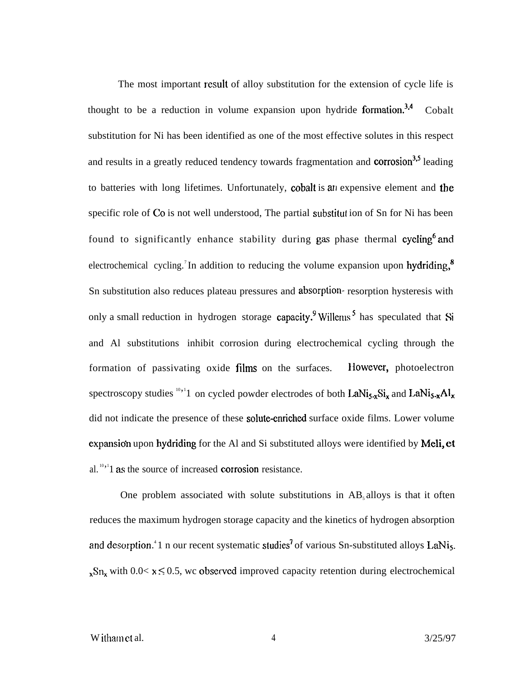The most important result of alloy substitution for the extension of cycle life is thought to be a reduction in volume expansion upon hydride formation.<sup>3,4</sup> Cobalt substitution for Ni has been identified as one of the most effective solutes in this respect and results in a greatly reduced tendency towards fragmentation and corrosion<sup>3,5</sup> leading to batteries with long lifetimes. Unfortunately, cobalt is an expensive element and the specific role of Co is not well understood, The partial substitut ion of Sn for Ni has been found to significantly enhance stability during gas phase thermal cycling<sup>6</sup> and electrochemical cycling.<sup>7</sup>In addition to reducing the volume expansion upon hydriding.<sup>8</sup> Sn substitution also reduces plateau pressures and absorption- resorption hysteresis with only a small reduction in hydrogen storage capacity. Willems has speculated that Si and Al substitutions inhibit corrosion during electrochemical cycling through the formation of passivating oxide films on the surfaces. However, photoelectron spectroscopy studies  $^{10,1}$  on cycled powder electrodes of both LaNi<sub>5-x</sub>Si<sub>x</sub> and LaNi<sub>5-x</sub>Al<sub>x</sub> did not indicate the presence of these solute-enriched surface oxide films. Lower volume expansion upon hydriding for the Al and Si substituted alloys were identified by Meli, et al.  $10,10,11$  as the source of increased corrosion resistance.

One problem associated with solute substitutions in  $AB_5$  alloys is that it often reduces the maximum hydrogen storage capacity and the kinetics of hydrogen absorption and desorption.<sup>4</sup> 1 n our recent systematic studies<sup>7</sup> of various Sn-substituted alloys LaNi<sub>5</sub>.  $x \text{Sn}_{x}$  with 0.0<  $x \le 0.5$ , we observed improved capacity retention during electrochemical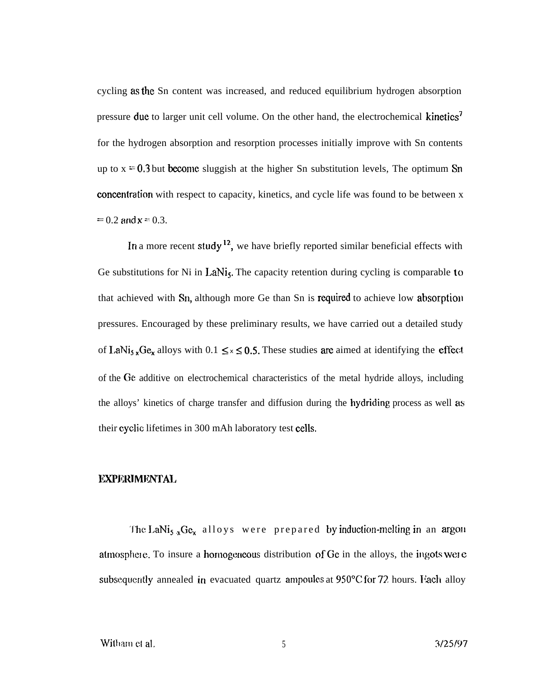cycling as the Sn content was increased, and reduced equilibrium hydrogen absorption pressure due to larger unit cell volume. On the other hand, the electrochemical kinetics<sup>7</sup> for the hydrogen absorption and resorption processes initially improve with Sn contents up to  $x = 0.3$  but become sluggish at the higher Sn substitution levels, The optimum Sn concentration with respect to capacity, kinetics, and cycle life was found to be between x  $= 0.2$  and  $x = 0.3$ .

In a more recent study<sup>12</sup>, we have briefly reported similar beneficial effects with Ge substitutions for Ni in LaNi<sub>5</sub>. The capacity retention during cycling is comparable to that achieved with  $S_{11}$ , although more Ge than Sn is required to achieve low absorption pressures. Encouraged by these preliminary results, we have carried out a detailed study of LaNi<sub>5</sub>  $_{x}Ge_{x}$  alloys with 0.1  $\leq x \leq 0.5$ . These studies are aimed at identifying the effect of the Ge additive on electrochemical characteristics of the metal hydride alloys, including the alloys' kinetics of charge transfer and diffusion during the hydriding process as well as their cyclic lifetimes in 300 mAh laboratory test cells.

# **EXPERIMENTAL**

The LaNi<sub>5</sub>  $_{x}Ge_{x}$  alloys were prepared by induction-melting in an argon atmosphere. To insure a hornogeneous distribution of  $Ge$  in the alloys, the ingots were subsequently annealed in evacuated quartz ampoules at  $950^{\circ}$ C for 72, hours. Itach alloy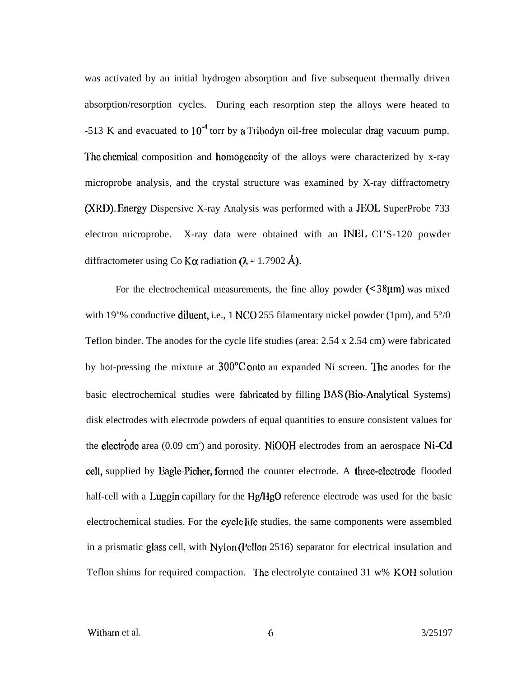was activated by an initial hydrogen absorption and five subsequent thermally driven absorption/resorption cycles. During each resorption step the alloys were heated to  $-513$  K and evacuated to  $10^{-4}$  torr by a Tribodyn oil-free molecular drag vacuum pump. The chemical composition and homogeneity of the alloys were characterized by  $x$ -ray microprobe analysis, and the crystal structure was examined by X-ray diffractometry (XRD). Energy Dispersive X-ray Analysis was performed with a JEOL SuperProbe 733 electron microprobe. X-ray data were obtained with an INEL CI'S-120 powder diffractometer using Co K $\alpha$  radiation ( $\lambda = 1.7902$  Å).

For the electrochemical measurements, the fine alloy powder  $\leq 38 \mu m$  was mixed with 19'% conductive diluent, i.e., 1 NCO 255 filamentary nickel powder (1pm), and  $5^{\circ}/0$ Teflon binder. The anodes for the cycle life studies (area: 2.54 x 2.54 cm) were fabricated by hot-pressing the mixture at  $300^{\circ}$ C onto an expanded Ni screen. The anodes for the basic electrochemical studies were fabricated by filling BAS (Bio-Analytical Systems) disk electrodes with electrode powders of equal quantities to ensure consistent values for the electrode area (0.09 cm<sup>2</sup>) and porosity. NiOOH electrodes from an aerospace Ni-Cd cell, supplied by Eagle-Picher, formed the counter electrode. A three-electrode flooded half-cell with a Luggin capillary for the Hg/HgO reference electrode was used for the basic electrochemical studies. For the cycle life studies, the same components were assembled in a prismatic glass cell, with  $Nylon$  (Pellon 2516) separator for electrical insulation and Teflon shims for required compaction. The electrolyte contained  $31 \text{ w\% KOH}$  solution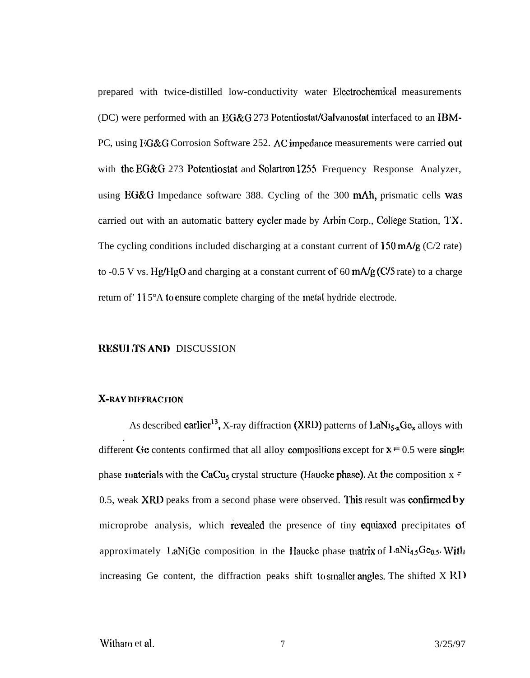prepared with twice-distilled low-conductivity water Electrochemical measurements (DC) were performed with an  $EG&G$  273 Potentiostat/Galvanostat interfaced to an IBM-PC, using FG&G Corrosion Software 252. AC impedance measurements were carried out with the EG&G 273 Potentiostat and Solartron 1255 Frequency Response Analyzer, using  $EG&G$  Impedance software 388. Cycling of the 300 mAh, prismatic cells was carried out with an automatic battery cycler made by Arbin Corp., College Station, TX. The cycling conditions included discharging at a constant current of  $150 \text{ mA/g}$  (C/2 rate) to -0.5 V vs. Hg/HgO and charging at a constant current of 60  $\text{mA/g}$  (C/5 rate) to a charge return of '115°A to ensure complete charging of the metal hydride electrode.

#### RESULTS AND DISCUSSION

# X-RAY DIFFRACTION

As described earlier<sup>13</sup>, X-ray diffraction (XRD) patterns of  $\text{LaNi}_{5x}\text{Ge}_{x}$  alloys with . different Ge contents confirmed that all alloy compositions except for  $x = 0.5$  were single phase materials with the CaCu<sub>s</sub> crystal structure (Haucke phase). At the composition  $x =$ 0.5, weak XRD peaks from a second phase were observed. This result was confirmed by microprobe analysis, which revealed the presence of tiny equiaxed precipitates of approximately LaNiGe composition in the Haucke phase matrix of LaNi<sub>4.5</sub>Ge<sub>0.5</sub>. With increasing Ge content, the diffraction peaks shift to smaller angles. The shifted  $X \text{ } R1$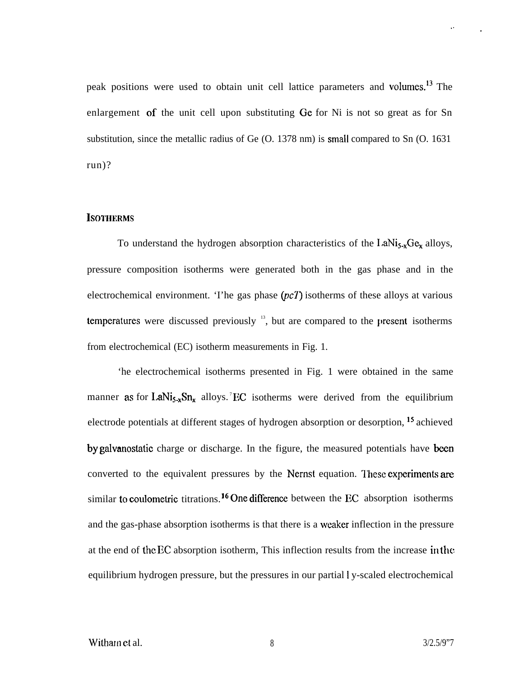peak positions were used to obtain unit cell lattice parameters and volurnes.13 The enlargement of the unit cell upon substituting Ge for Ni is not so great as for Sn substitution, since the metallic radius of Ge (O. 1378 nm) is small compared to Sn (O. 1631 run)?

#### **ISOTHERMS**

To understand the hydrogen absorption characteristics of the  $I.ANi<sub>5-x</sub>Ge<sub>x</sub>$  alloys, pressure composition isotherms were generated both in the gas phase and in the electrochemical environment. The gas phase  $(pcT)$  isotherms of these alloys at various temperatures were discussed previously  $\frac{13}{2}$ , but are compared to the present isotherms from electrochemical (EC) isotherm measurements in Fig. 1.

'he electrochemical isotherms presented in Fig. 1 were obtained in the same manner as for LaNi<sub>5-x</sub>Sn<sub>x</sub> alloys. <sup>7</sup>EC isotherms were derived from the equilibrium electrode potentials at different stages of hydrogen absorption or desorption, 15 achieved by galvanostatic charge or discharge. In the figure, the measured potentials have been converted to the equivalent pressures by the Nernst equation. These experiments are similar to coulometric titrations.<sup>16</sup> One difference between the EC absorption isotherms and the gas-phase absorption isotherms is that there is a weaker inflection in the pressure at the end of the EC absorption isotherm, This inflection results from the increase in the equilibrium hydrogen pressure, but the pressures in our partial I y-scaled electrochemical

.,

.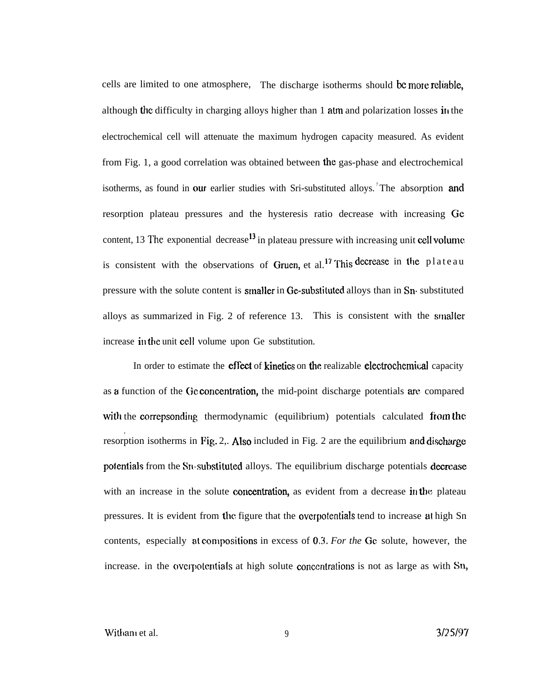cells are limited to one atmosphere, The discharge isotherms should be more reliable, although the difficulty in charging alloys higher than 1 atm and polarization losses in the electrochemical cell will attenuate the maximum hydrogen capacity measured. As evident from Fig. 1, a good correlation was obtained between the gas-phase and electrochemical isotherms, as found in our earlier studies with Sri-substituted alloys.<sup>7</sup>The absorption and resorption plateau pressures and the hysteresis ratio decrease with increasing Ge content, 13 The exponential decrease<sup>13</sup> in plateau pressure with increasing unit cell volume is consistent with the observations of Gruen, et al.<sup>17</sup> This decrease in the plateau pressure with the solute content is stnaller in Ge-substituted alloys than in Sn- substituted alloys as summarized in Fig. 2 of reference 13. This is consistent with the smalier increase in the unit cell volume upon Ge substitution.

In order to estimate the **effect** of **kinetics** on the realizable **electrochemical** capacity as a function of the Ge concentration, the mid-point discharge potentials are compared with the correpsonding thermodynamic (equilibrium) potentials calculated from the . resorption isotherms in Fig. 2,. Also included in Fig. 2 are the equilibrium and discharge potentials from the Sn-substituted alloys. The equilibrium discharge potentials decrease with an increase in the solute concentration, as evident from a decrease in the plateau pressures. It is evident from the figure that the overpotentials tend to increase at high Sn contents, especially at compositions in excess of 0.3. For the Ge solute, however, the increase. in the overpotentials at high solute concentrations is not as large as with Sn,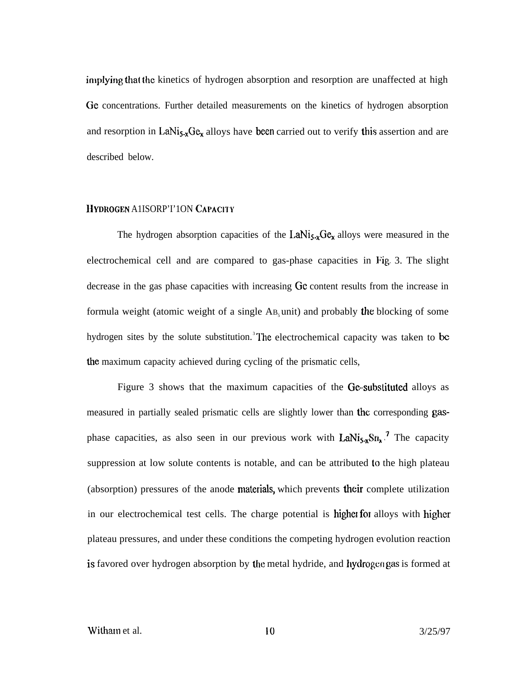implying that the kinetics of hydrogen absorption and resorption are unaffected at high Ge concentrations. Further detailed measurements on the kinetics of hydrogen absorption and resorption in LaNi<sub>5-x</sub>Ge<sub>x</sub> alloys have been carried out to verify this assertion and are described below.

### HYDROGEN A1ISORP'I'1ON CAPACITY

The hydrogen absorption capacities of the LaNi $_{5x}Ge_{x}$  alloys were measured in the electrochemical cell and are compared to gas-phase capacities in Fig. 3. The slight decrease in the gas phase capacities with increasing Ge content results from the increase in formula weight (atomic weight of a single  $AB_5$  unit) and probably the blocking of some hydrogen sites by the solute substitution.<sup>3</sup>The electrochemical capacity was taken to be the maximum capacity achieved during cycling of the prismatic cells,

Figure 3 shows that the maximum capacities of the Ge-substituted alloys as measured in partially sealed prismatic cells are slightly lower than the corresponding gasphase capacities, as also seen in our previous work with  $LaNi<sub>5-x</sub>Sn<sub>x</sub>$ <sup>7</sup> The capacity suppression at low solute contents is notable, and can be attributed to the high plateau (absorption) pressures of the anode materials, which prevents their complete utilization in our electrochemical test cells. The charge potential is higher for alloys with higher plateau pressures, and under these conditions the competing hydrogen evolution reaction is favored over hydrogen absorption by the metal hydride, and hydrogen gas is formed at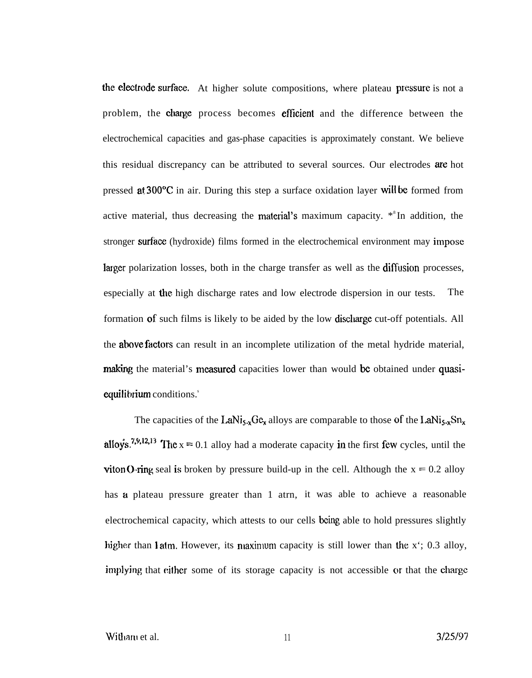the electrode surface. At higher solute compositions, where plateau pressure is not a problem, the charge process becomes efficient and the difference between the electrochemical capacities and gas-phase capacities is approximately constant. We believe this residual discrepancy can be attributed to several sources. Our electrodes are hot pressed at 300°C in air. During this step a surface oxidation layer will be formed from active material, thus decreasing the material's maximum capacity.  $*$ <sup>8</sup>In addition, the stronger surface (hydroxide) films formed in the electrochemical environment may impose larger polarization losses, both in the charge transfer as well as the diffusion processes, especially at the high discharge rates and low electrode dispersion in our tests. The formation of such films is likely to be aided by the low discharge cut-off potentials. All the **above factors** can result in an incomplete utilization of the metal hydride material, making the material's measured capacities lower than would be obtained under quasiequilibrium conditions.<sup>s</sup>

The capacities of the LaNi<sub>5.x</sub>G $c_x$  alloys are comparable to those of the LaNi<sub>5.x</sub>Sn<sub>x</sub> alloys.<sup>7,9,12,13</sup> The  $x = 0.1$  alloy had a moderate capacity in the first few cycles, until the viton O-ring seal is broken by pressure build-up in the cell. Although the  $x = 0.2$  alloy has a plateau pressure greater than 1 atrn, it was able to achieve a reasonable electrochemical capacity, which attests to our cells being able to hold pressures slightly higher than 1 atm. However, its maximum capacity is still lower than the  $x'$ ; 0.3 alloy, implying that either some of its storage capacity is not accessible or that the charge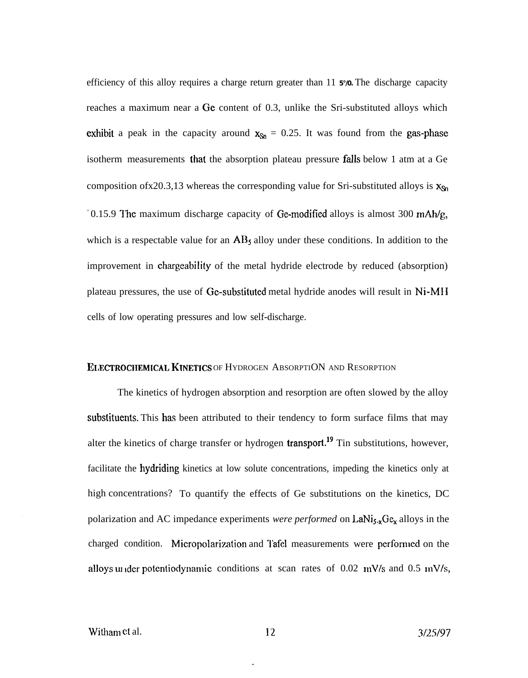efficiency of this alloy requires a charge return greater than 11 **5°/0.** The discharge capacity reaches a maximum near a Ge content of 0.3, unlike the Sri-substituted alloys which exhibit a peak in the capacity around  $x_{Sn} = 0.25$ . It was found from the gas-phase isotherm measurements that the absorption plateau pressure fidls below 1 atm at a Ge composition of x20.3,13 whereas the corresponding value for Sri-substituted alloys is  $x_{\text{Sn}}$  $\degree$ 0.15.9 The maximum discharge capacity of Ge-modified alloys is almost 300 mAh/g, which is a respectable value for an  $AB_5$  alloy under these conditions. In addition to the improvement in chargeabi Iity of the metal hydride electrode by reduced (absorption) plateau pressures, the use of Ge-substituted metal hydride anodes will result in Ni-MH cells of low operating pressures and low self-discharge.

#### ELECTROCHEMICAL KINETICS OF HYDROGEN ABSORPTION AND RESORPTION

The kinetics of hydrogen absorption and resorption are often slowed by the alloy substituents. This has been attributed to their tendency to form surface films that may alter the kinetics of charge transfer or hydrogen **transport.**<sup>19</sup> Tin substitutions, however, facilitate the hydriding kinetics at low solute concentrations, impeding the kinetics only at high concentrations? To quantify the effects of Ge substitutions on the kinetics, DC polarization and AC impedance experiments *were performed* on  $LaNi<sub>5-x</sub>Ge<sub>x</sub>$  alloys in the charged condition. Micropolarization and Tafel measurements were performed on the alloys under potentiodynamic conditions at scan rates of  $0.02$  mV/s and  $0.5$  mV/s,

.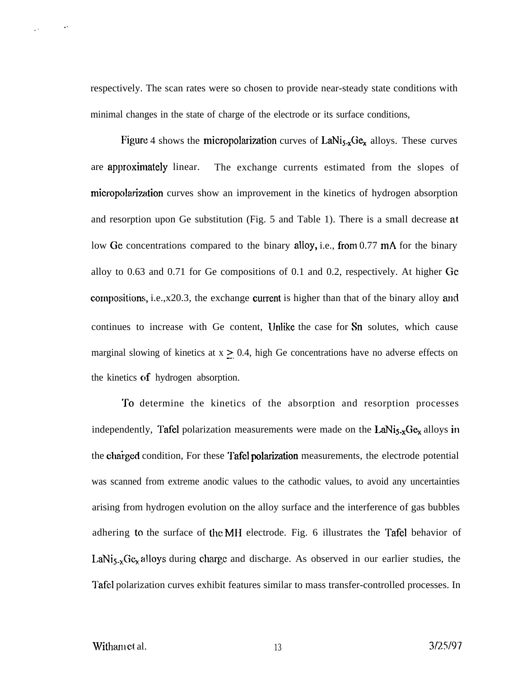respectively. The scan rates were so chosen to provide near-steady state conditions with minimal changes in the state of charge of the electrode or its surface conditions,

Figure 4 shows the micropolarization curves of  $LaNi<sub>5-x</sub>Ge<sub>x</sub>$  alloys. These curves are approximately linear. The exchange currents estimated from the slopes of micropolarization curves show an improvement in the kinetics of hydrogen absorption and resorption upon Ge substitution (Fig. 5 and Table 1). There is a small decrease at low Ge concentrations compared to the binary alloy, i.e., from 0.77 mA for the binary alloy to 0.63 and 0.71 for Ge compositions of 0.1 and 0.2, respectively. At higher Gc compositions, i.e., $x20.3$ , the exchange current is higher than that of the binary alloy and continues to increase with Ge content, IJnlike the case for Sn solutes, which cause marginal slowing of kinetics at  $x \geq 0.4$ , high Ge concentrations have no adverse effects on the kinetics of hydrogen absorption.

To determine the kinetics of the absorption and resorption processes independently, Tafel polarization measurements were made on the LaNi $_{5-x}Ge_{x}$  alloys in the charged condition, For these Tafel polarization measurements, the electrode potential was scanned from extreme anodic values to the cathodic values, to avoid any uncertainties arising from hydrogen evolution on the alloy surface and the interference of gas bubbles adhering to the surface of the MH electrode. Fig. 6 illustrates the Tafel behavior of LaNi<sub>5-x</sub>Ge<sub>x</sub> alloys during charge and discharge. As observed in our earlier studies, the Tafel polarization curves exhibit features similar to mass transfer-controlled processes. In

. .

.-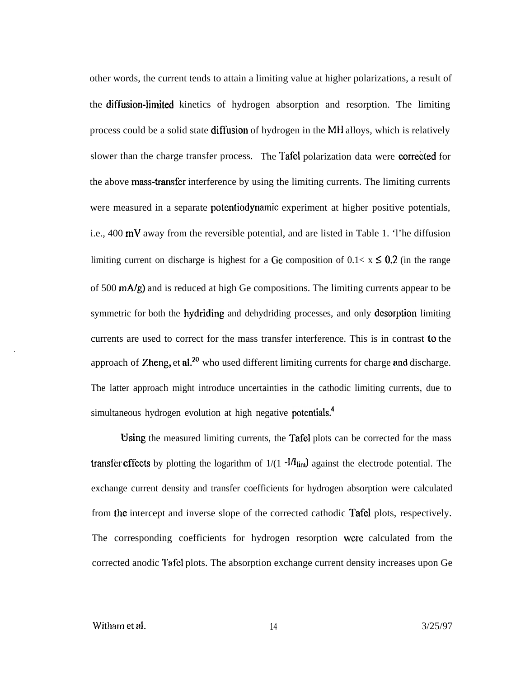other words, the current tends to attain a limiting value at higher polarizations, a result of the diffusion-limited kinetics of hydrogen absorption and resorption. The limiting process could be a solid state diffusion of hydrogen in the MH alloys, which is relatively slower than the charge transfer process. The Tafel polarization data were corrected for the above mass-transfer interference by using the limiting currents. The limiting currents were measured in a separate **potentiodynamic** experiment at higher positive potentials, i.e., 400 mV away from the reversible potential, and are listed in Table 1. 'l'he diffusion limiting current on discharge is highest for a Ge composition of  $0.1 < x \leq 0.2$  (in the range of 500 mA/g) and is reduced at high Ge compositions. The limiting currents appear to be symmetric for both the hydriding and dehydriding processes, and only desorption limiting currents are used to correct for the mass transfer interference. This is in contrast to the approach of Zheng, et al.<sup>20</sup> who used different limiting currents for charge and discharge. The latter approach might introduce uncertainties in the cathodic limiting currents, due to simultaneous hydrogen evolution at high negative potentials.<sup>4</sup>

Using the measured limiting currents, the Tafel plots can be corrected for the mass transfer effects by plotting the logarithm of  $1/(1 - \frac{1}{I_{\text{lim}}})$  against the electrode potential. The exchange current density and transfer coefficients for hydrogen absorption were calculated from the intercept and inverse slope of the corrected cathodic Tafel plots, respectively. The corresponding coefficients for hydrogen resorption wese calculated from the corrected anodic I'afel plots. The absorption exchange current density increases upon Ge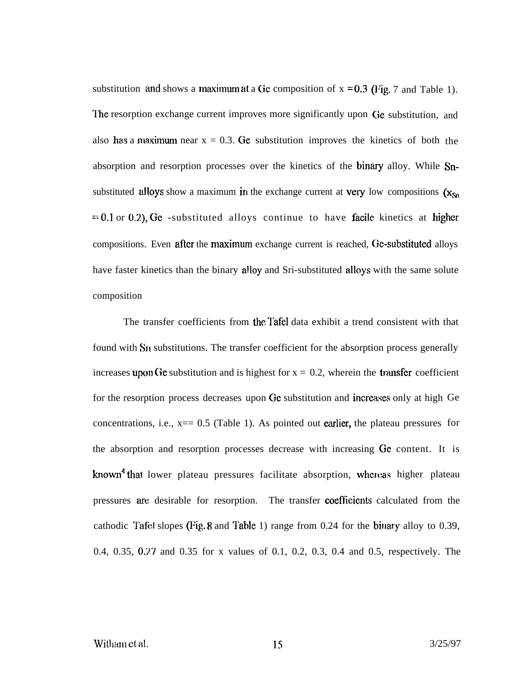substitution and shows a maximum at a Ge composition of  $x = 0.3$  (Fig. 7 and Table 1). The resorption exchange current improves more significantly upon Ge substitution, and also has a maximum near  $x = 0.3$ . Ge substitution improves the kinetics of both the absorption and resorption processes over the kinetics of the binary alloy. While Snsubstituted alloys show a maximum in the exchange current at very low compositions  $(x_{Sn}$  $= 0.1$  or 0.2), Ge -substituted alloys continue to have facile kinetics at higher compositions. Even after the maximum exchange current is reached, Ge-substituted alloys have faster kinetics than the binary alloy and Sri-substituted alloys with the same solute composition

The transfer coefficients from the Tafel data exhibit a trend consistent with that found with S<sub>I</sub> substitutions. The transfer coefficient for the absorption process generally increases upon Ge substitution and is highest for  $x = 0.2$ , wherein the transfer coefficient for the resorption process decreases upon Ge substitution and increases only at high Ge concentrations, i.e.,  $x == 0.5$  (Table 1). As pointed out earlier, the plateau pressures for the absorption and resorption processes decrease with increasing Ge content. It is known<sup>4</sup> that lower plateau pressures facilitate absorption, whereas higher plateau pressures are desirable for resorption. The transfer COefflcients calculated from the cathodic Tafel slopes (Fig. 8 and Table 1) range from 0.24 for the binary alloy to 0.39, 0.4, 0.35, 0.27 and 0.35 for x values of 0.1, 0.2, 0.3, 0.4 and 0.5, respectively. The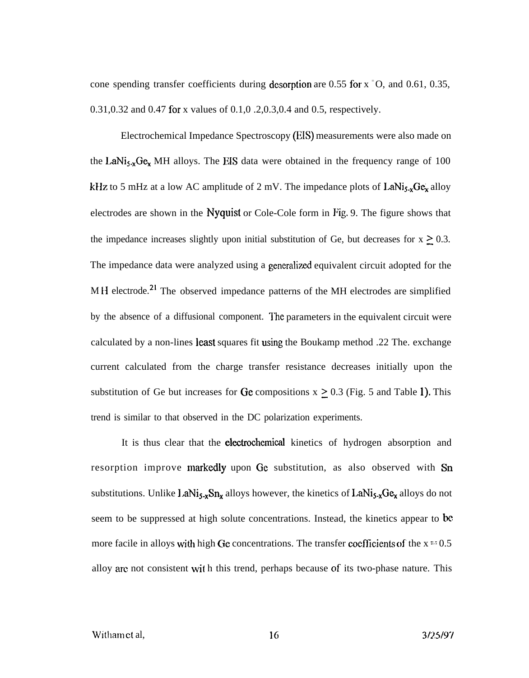cone spending transfer coefficients during desorption are 0.55 for  $x = 0$ , and 0.61, 0.35, 0.31,0.32 and 0.47 for x values of 0.1,0 .2,0.3,0.4 and 0.5, respectively.

Electrochemical Impedance Spectroscopy (EIS) measurements were also made on the LaNi<sub>5-x</sub>Ge<sub>x</sub> MH alloys. The EIS data were obtained in the frequency range of 100 kHz to 5 mHz at a low AC amplitude of 2 mV. The impedance plots of  $\text{LaNi}_{5x}\text{Ge}_{x}$  alloy electrodes are shown in the Nyquist or Cole-Cole form in Fig. 9. The figure shows that the impedance increases slightly upon initial substitution of Ge, but decreases for  $x \ge 0.3$ . The impedance data were analyzed using a generalized equivalent circuit adopted for the MH electrode.<sup>21</sup> The observed impedance patterns of the MH electrodes are simplified by the absence of a diffusional component. The parameters in the equivalent circuit were calculated by a non-lines least squares fit using the Boukamp method .22 The. exchange current calculated from the charge transfer resistance decreases initially upon the substitution of Ge but increases for Ge compositions  $x \ge 0.3$  (Fig. 5 and Table 1). This trend is similar to that observed in the DC polarization experiments.

It is thus clear that the electrochemical kinetics of hydrogen absorption and resorption improve markedly upon Ge substitution, as also observed with Sn substitutions. Unlike  $l.aNi<sub>5-x</sub>Sn<sub>x</sub>$  alloys however, the kinetics of  $LaNi<sub>5-x</sub>Ge<sub>x</sub>$  alloys do not seem to be suppressed at high solute concentrations. Instead, the kinetics appear to be more facile in alloys with high Ge concentrations. The transfer coefficients of the  $x = 0.5$ alloy are not consistent with this trend, perhaps because of its two-phase nature. This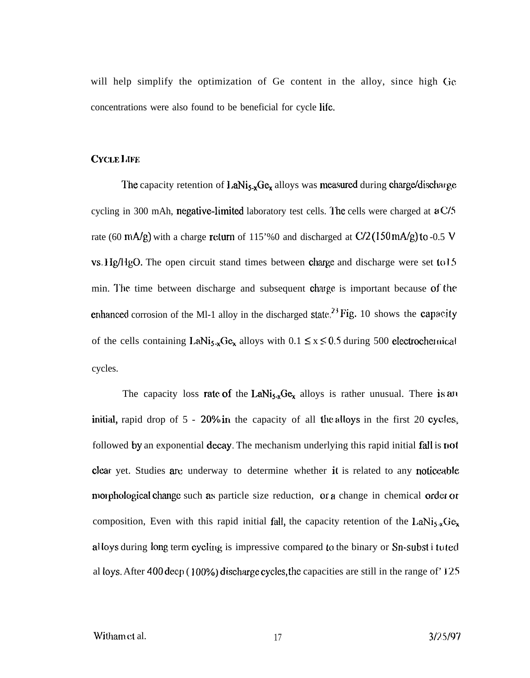will help simplify the optimization of Ge content in the alloy, since high Ge concentrations were also found to be beneficial for cycle life.

# CYCLE LIFE

The capacity retention of  $LaNi_{5-x}Ge_x$  alloys was measured during charge/discharge cycling in 300 mAh, negative-limited laboratory test cells. The cells were charged at  $aC/5$ rate (60 mA/g) with a charge return of 115'%0 and discharged at  $C/2$  (150 mA/g) to -0.5 V  $vs. Hg/HgO.$  The open circuit stand times between charge and discharge were set to 15 min. The time between discharge and subsequent charge is important because of the enhanced corrosion of the Ml-1 alloy in the discharged state,  $^{23}$  Fig. 10 shows the capacity of the cells containing LaNi<sub>5.x</sub>Ge<sub>x</sub> alloys with  $0.1 \le x \le 0.5$  during 500 electrocher nical cycles.

The capacity loss rate of the LaNi<sub>5-x</sub>Ge<sub>x</sub> alloys is rather unusual. There is an initial, rapid drop of  $5 - 20\%$  in the capacity of all the alloys in the first 20 cycles. followed by an exponential decay. The mechanism underlying this rapid initial fall is not clear yet. Studies are underway to determine whether it is related to any noticeable morphological change such as particle size reduction, or a change in chemical order or composition, Even with this rapid initial fall, the capacity retention of the LaNi<sub>5</sub><sup>x</sup>Ge<sub>x</sub> alloys during long term cycling is impressive compared to the binary or  $Sn\text{-}subst$  i tu ted al loys. After 400 deep (100%) discharge cycles, the capacities are still in the range of  $125$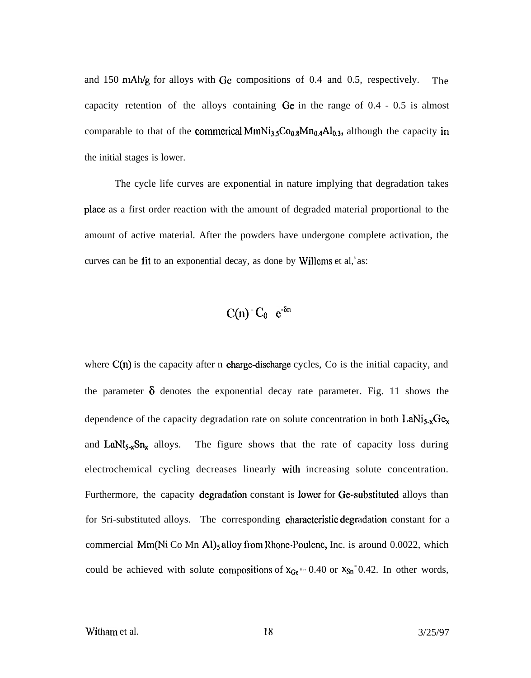and 150 mAh/g for alloys with Ge compositions of 0.4 and 0.5, respectively. The capacity retention of the alloys containing Ge in the range of 0.4 - 0.5 is almost comparable to that of the commerical MmNi<sub>3,5</sub>Co<sub>0.8</sub>Mn<sub>0.4</sub>Al<sub>0,3</sub>, although the capacity in the initial stages is lower.

The cycle life curves are exponential in nature implying that degradation takes plaec as a first order reaction with the amount of degraded material proportional to the amount of active material. After the powders have undergone complete activation, the curves can be fit to an exponential decay, as done by Willems et al,  $\delta$  as:

$$
C(n) = C_0 e^{-\delta n}
$$

where  $C(n)$  is the capacity after n charge-discharge cycles, Co is the initial capacity, and the parameter  $\delta$  denotes the exponential decay rate parameter. Fig. 11 shows the dependence of the capacity degradation rate on solute concentration in both LaNi<sub>5-x</sub>Ge<sub>x</sub> and LaN $t_{5x}Sn_{x}$  alloys. The figure shows that the rate of capacity loss during electrochemical cycling decreases linearly with increasing solute concentration. Furthermore, the capacity degradation constant is lower for Ge-substituted alloys than for Sri-substituted alloys. The corresponding characteristic degradation constant for a commercial  $Mm(Ni)$  Co Mn Al)<sub>5</sub> alloy from Rhone-Poulenc, Inc. is around 0.0022, which could be achieved with solute compositions of  $x_{Ge} = 0.40$  or  $x_{Sn} = 0.42$ . In other words,

Witham et al.  $18 \t3/25/97$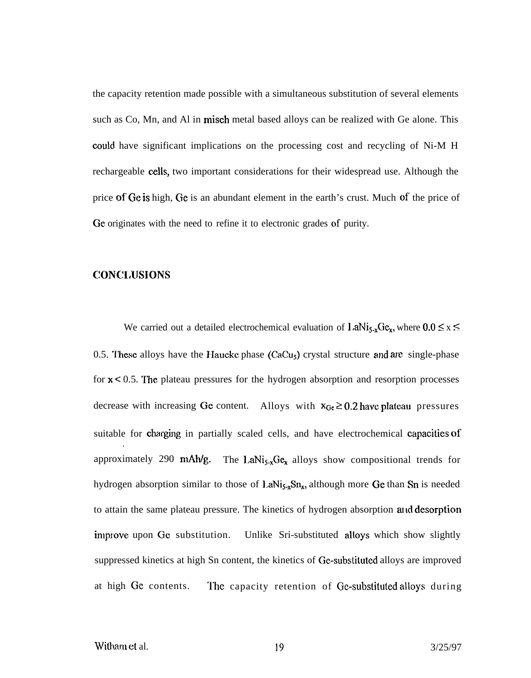the capacity retention made possible with a simultaneous substitution of several elements such as Co, Mn, and Al in misch metal based alloys can be realized with Ge alone. This could have significant implications on the processing cost and recycling of Ni-M H rechargeable cells, two important considerations for their widespread use. Although the price of Ge is high, Ge is an abundant element in the earth's crust. Much of the price of Ge originates with the need to refine it to electronic grades of purity.

## CONCLUSIONS

We carried out a detailed electrochemical evaluation of LaNi<sub>5</sub>,  $Ge_{x}$ , where  $0.0 \le x \le$ 0.5. These alloys have the Haucke phase  $(CaCu<sub>s</sub>)$  crystal structure and are single-phase for  $x < 0.5$ . The plateau pressures for the hydrogen absorption and resorption processes decrease with increasing Ge content. Alloys with  $x_{Gc} \ge 0.2$  have plateau pressures suitable for charging in partially scaled cells, and have electrochemical capacities of . approximately 290 mAh/g. The LaNi<sub>5-x</sub>Ge<sub>x</sub> alloys show compositional trends for hydrogen absorption similar to those of LaNi $_{5x}Sn_x$ , although more Ge than Sn is needed to attain the same plateau pressure. The kinetics of hydrogen absorption and desorption improve upon Ge substitution. Unlike Sri-substituted alloys which show slightly suppressed kinetics at high Sn content, the kinetics of Ge-substituted alloys are improved at high Ge contents. The capacity retention of Ge-substituted alloys during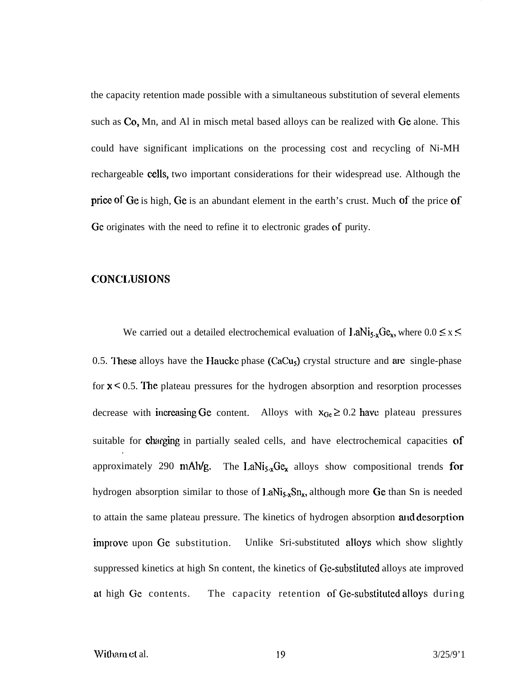the capacity retention made possible with a simultaneous substitution of several elements such as Co, Mn, and Al in misch metal based alloys can be realized with Ge alone. This could have significant implications on the processing cost and recycling of Ni-MH rechargeable cells, two important considerations for their widespread use. Although the price of Ge is high, Ge is an abundant element in the earth's crust. Much of the price of Ge originates with the need to refine it to electronic grades of purity.

# CONCLUSIONS

We carried out a detailed electrochemical evaluation of  $I.aNi<sub>5-x</sub>Ge<sub>x</sub>$ , where  $0.0 \le x \le$ 0.5. These alloys have the Haucke phase  $(CaCu<sub>s</sub>)$  crystal structure and are single-phase for  $x < 0.5$ . The plateau pressures for the hydrogen absorption and resorption processes decrease with increasing Ge content. Alloys with  $x_{Ge} \ge 0.2$  have plateau pressures suitable for charging in partially sealed cells, and have electrochemical capacities of . approximately 290 mAh/g. The LaNi<sub>5-x</sub>Ge<sub>x</sub> alloys show compositional trends for hydrogen absorption similar to those of LaNi $_{5-x}Sn_x$ , although more Ge than Sn is needed to attain the same plateau pressure. The kinetics of hydrogen absorption and desorption improve upon Ge substitution. Unlike Sri-substituted alloys which show slightly suppressed kinetics at high Sn content, the kinetics of Ge-substituted alloys ate improved at high Ge contents. The capacity retention of Ge-substituted alloys during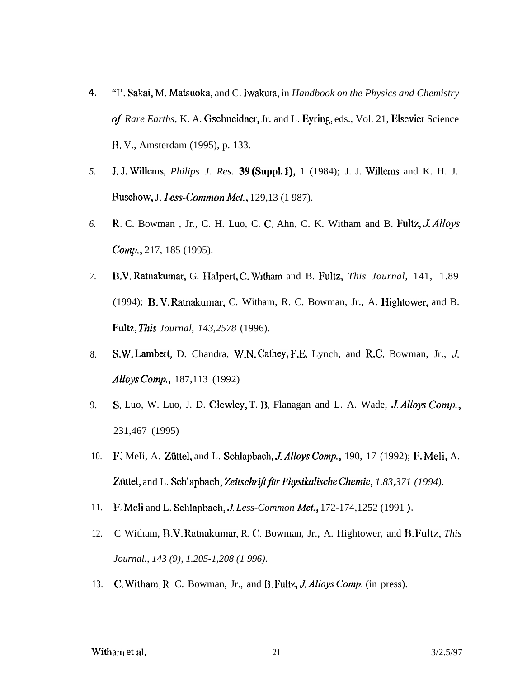- 4. "I'. Sakai, M. Matsuoka, and C. Iwakwa, in *Handbook on the Physics and Chemistry of Rare Earths,* K. A. Gschneidner, Jr. and L. Eyring, eds., Vol. 21, Elsevier Science B. V., Amsterdam (1995), p. 133.
- *5.* J. J. Willems, *Philips J. Res. 39* (SuppL 1), 1 (1984); J. J. Willems and K. H. J. Buschow, J. *Less-Common Met.*, 129,13 (1 987).
- *6.* R. C. Bowman , Jr., C. H. Luo, C. C, Ahn, C. K. Witham and B. Fultz, J Alloys *Comjl.,* 217, 185 (1995).
- *7.* B.V. Ratnakumar, G. Halpert, C. Witham and B. Fultz, *This Journal*, 141, 1.89 (1994); B. V. Ratnakumar, C. Witham, R. C. Bowman, Jr., A. Hightower, and B. Fldtz., *This Journal, 143,2578* (1996).
- 8. S.W. Lambert, D. Chandra, W.N. Cathey, F.E. Lynch, and R.C. Bowman, Jr., J. Alloys Comp.,  $187,113$  (1992)
- 9. S. Luo, W. Luo, J. D. Clewley, T. B. Flanagan and L. A. Wade, *J. Alloys Comp.*, 231,467 (1995)
- 10. F: MeIi, A. Ziittel, and L. Schlapbach, J Alloys *Comp.,* 190, 17 (1992); F. Meli, A. Ziittel, and L. Schlapbach, *Zeitschrfljir Physikalische Chemie, 1.83,371 (1994).*
- 11. *F.* Meli and L. Schlapbach, *J. Less-Common Met.*, 172-174, 1252 (1991).
- 12. C Witham, B.V. Ratnakumar, R. (~. Bowman, Jr., A. Hightower, and B. Fultz, *This Journal., 143 (9), 1.205-1,208 (1 996).*
- 13. *C*. Witham, R. C. Bowman, Jr., and B. Fultz, *J. Alloys Comp*. (in press).

Witham et al.  $21$   $3/2.5/97$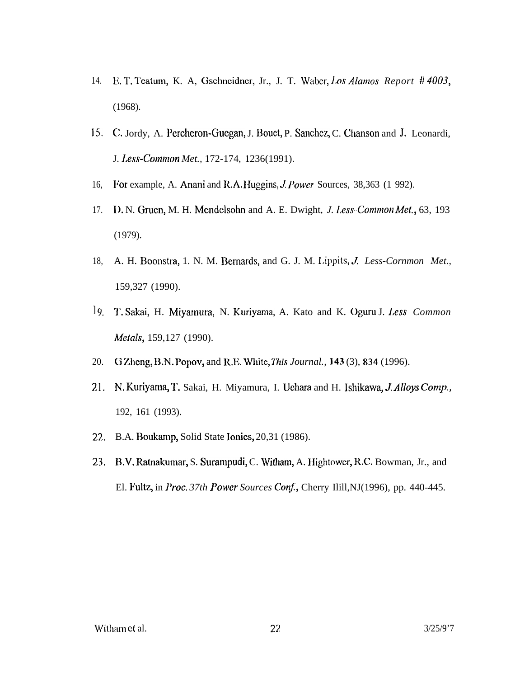- 14. E. T. Teatum, K. A. Gschneidner, Jr., J. T. Waber, Los Alamos Report #4003,  $(1968).$
- 15. C. Jordy, A. Percheron-Guegan, J. Bouet, P. Sanchez, C. Chanson and J. Leonardi, J. Less-Common Met., 172-174, 1236(1991).
- 16, For example, A. Anani and R.A. Huggins, J. Power Sources, 38,363 (1 992).
- 17. I). N. Gruen, M. H. Mendelsohn and A. E. Dwight, J. Less-Common Met., 63, 193  $(1979).$
- A. H. Boonstra, 1. N. M. Bernards, and G. J. M. Lippits, J. Less-Cornmon Met., 18. 159,327 (1990).
- 19. T. Sakai, H. Miyamura, N. Kuriyama, A. Kato and K. Oguru J. Less Common Metals, 159,127 (1990).
- 20. G Zheng, B.N. Popov, and R.E. White, This Journal., 143 (3), 834 (1996).
- N. Kuriyama, T. Sakai, H. Miyamura, I. Uchara and H. Ishikawa, J. Alloys Comp., 21. 192, 161 (1993).
- 22. B.A. Boukamp, Solid State Ionics, 20,31 (1986).
- 23. B.V. Ratnakumar, S. Surampudi, C. Witham, A. Hightower, R.C. Bowman, Jr., and El. Fultz, in Proc. 37th Power Sources Conf., Cherry Ilill, NJ(1996), pp. 440-445.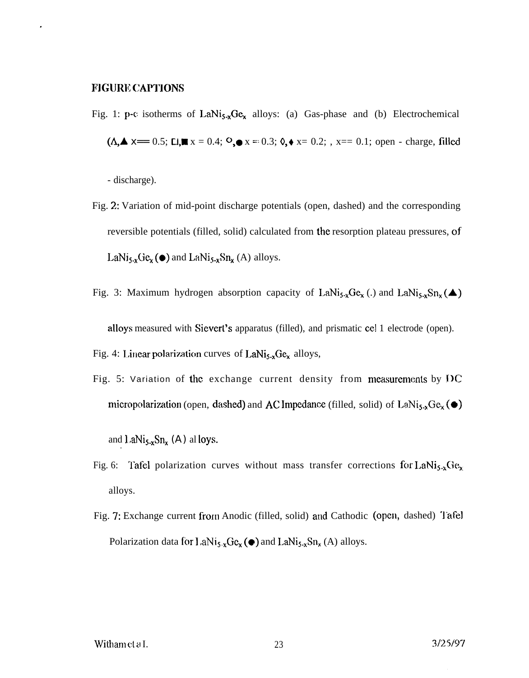# **FIGURE CAPTIONS**

Fig. 1: p-c isotherms of  $LaNi<sub>5-x</sub>Ge<sub>x</sub>$  alloys: (a) Gas-phase and (b) Electrochemical  $(A, A)$  x== 0.5; Li, x = 0.4; <sup>O</sup>, o x = 0.3; 0,  $\star$  x = 0.2; , x = 0.1; open - charge, filled

- discharge).

- Fig. 2: Variation of mid-point discharge potentials (open, dashed) and the corresponding reversible potentials (filled, solid) calculated from the resorption plateau pressures, of LaNi<sub>5-x</sub>Ge<sub>x</sub>( $\bullet$ ) and LaNi<sub>5-x</sub>Sn<sub>x</sub> (A) alloys.
- Fig. 3: Maximum hydrogen absorption capacity of LaNi<sub>5-x</sub>Ge<sub>x</sub> (.) and LaNi<sub>5-x</sub>Sn<sub>x</sub> ( $\triangle$ )

alloys measured with Sievert's apparatus (filled), and prismatic cel 1 electrode (open).

Fig. 4: Linear polarization curves of LaNi<sub>5-x</sub>Ge<sub>x</sub> alloys,

Fig. 5: Variation of the exchange current density from measurements by DC micropolarization (open, dashed) and AC Impedance (filled, solid) of  $\text{LaNi}_{5,x}\text{Ge}_x(\bullet)$ 

and LaNi<sub>5-x</sub>Sn<sub>x</sub> (A) al loys.

- Fig. 6: Tafel polarization curves without mass transfer corrections for LaNi<sub>5-x</sub>Ge<sub>x</sub> alloys.
- Fig. 7: Exchange current from Anodic (filled, solid) and Cathodic (open, dashed) Tafel Polarization data for LaNi<sub>5</sub>,  $\text{Ge}_{x}(\bullet)$  and LaNi<sub>5</sub>,  $\text{Sn}_{x}(A)$  alloys.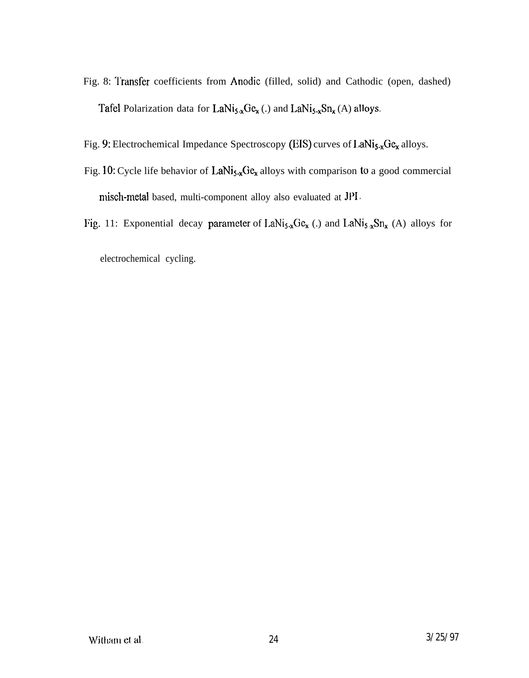- Fig. 8: Transfer coefficients from Anodic (filled, solid) and Cathodic (open, dashed) Tafel Polarization data for LaNi<sub>5-x</sub>Ge<sub>x</sub> (.) and LaNi<sub>5-x</sub>Sn<sub>x</sub> (A) alloys.
- Fig. 9: Electrochemical Impedance Spectroscopy (EIS) curves of  $1.4Ni<sub>5-x</sub>Ge<sub>x</sub>$  alloys.
- Fig. 10: Cycle life behavior of  $LaNi<sub>5-x</sub>Ge<sub>x</sub>$  alloys with comparison to a good commercial misch-rnetal based, multi-component alloy also evaluated at JP1,
- Fig. 11: Exponential decay parameter of  $\text{LaNi}_{5-x}\text{Ge}_{x}$  (.) and  $\text{LaNi}_{5-x}\text{Sn}_{x}$  (A) alloys for

electrochemical cycling.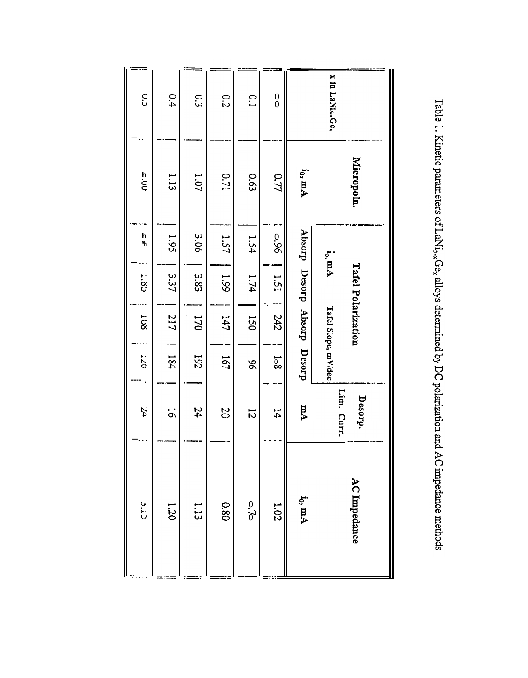| x in LaNis-Ger                               | Micropoln. | $\mathbf{i}_\mathrm{o}, \mathbf{mA}$ | Tafel Polarization | Tafel Slope, mV/dec  |                | Lim. Curr.<br>Desorp. | AC Impedance  |
|----------------------------------------------|------------|--------------------------------------|--------------------|----------------------|----------------|-----------------------|---------------|
|                                              | io, mA     | drosqy                               |                    | Desorp Absorp Desorp |                | ÞΜ                    | $i_0$ , $mA$  |
| $\begin{smallmatrix} 0\\0 \end{smallmatrix}$ | 0.77       | 96'0                                 | 1.51               | 242                  | $\frac{1}{8}$  | $\vec{4}$             | 1.02          |
| $\overline{C}$                               | 0.63       | 1.54                                 | 1.74               | 150                  | 96             | $\overline{5}$        | 5.70          |
| 0.2                                          | 0.71       | 1.57                                 | 66.1               | 141                  | 191            | 20                    | 080           |
| $\tilde{c}$                                  | 1.07       | 3.06                                 | 3.83               | 170                  | 192            | 24                    | 1.13          |
| 0.4                                          | 1.13       | 1.95                                 | 3.37               | 217                  | 184            | $\tilde{5}$           | 1.20          |
| $\tilde{\mathbf{c}}$                         | n<br>Si    | h<br>"h                              | 98.7               | ROT                  | $5\frac{1}{2}$ | $\mathcal{L}_4$       | $\frac{1}{5}$ |

Table 1. Kinetic parameters of LaNi<sub>5x</sub>Ge<sub>x</sub> alloys determined by DC polarization and AC impedance methods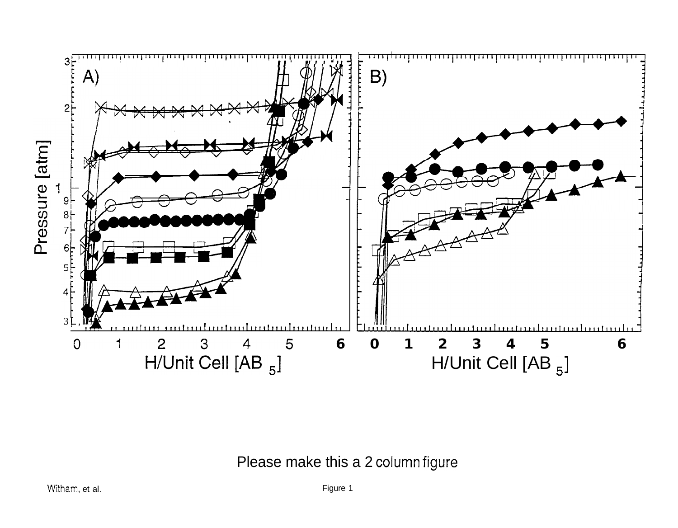

Please make this a 2 column figure

Figure 1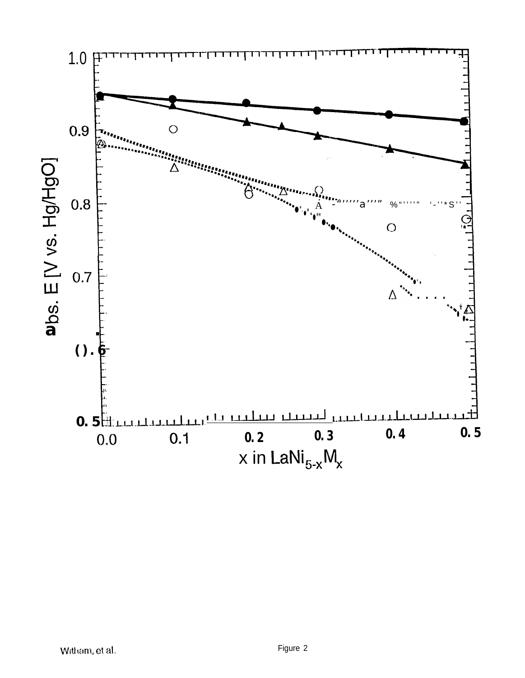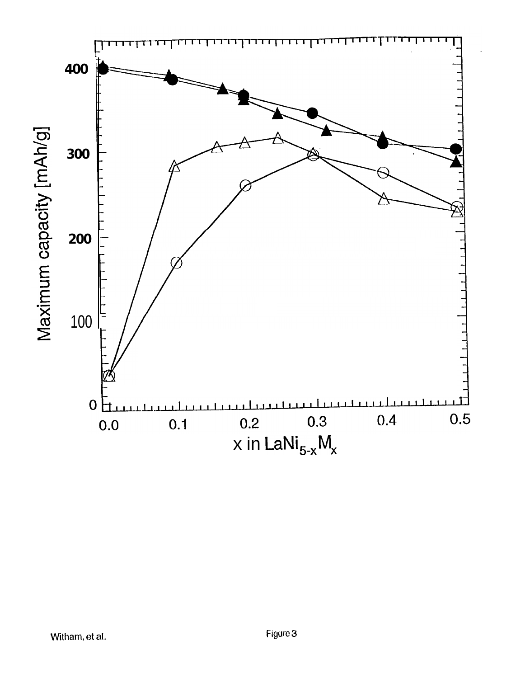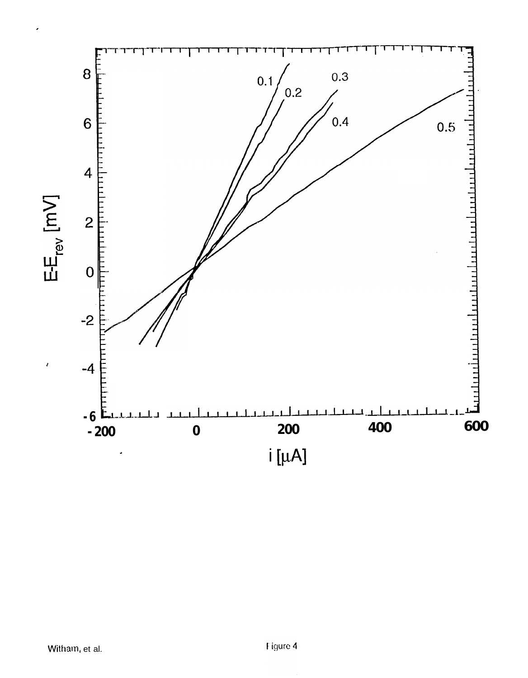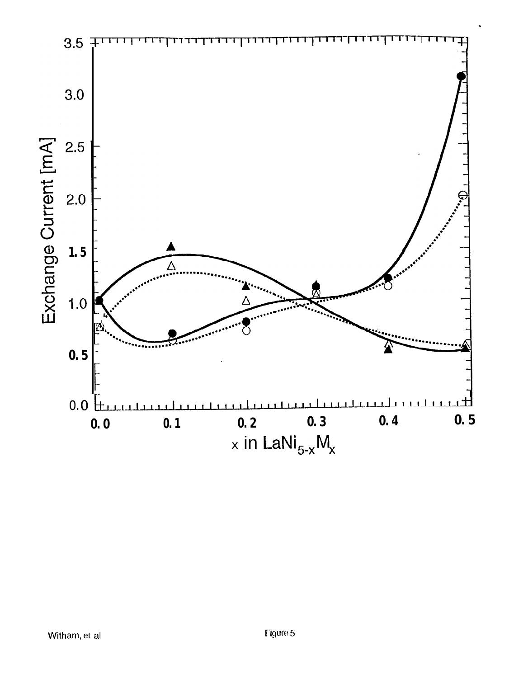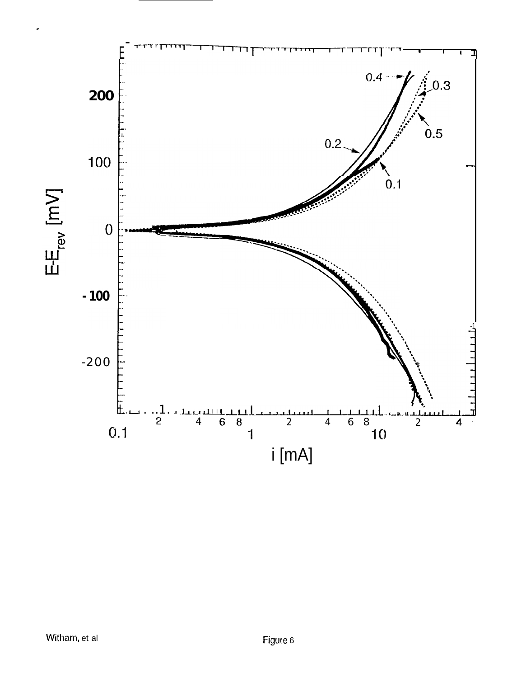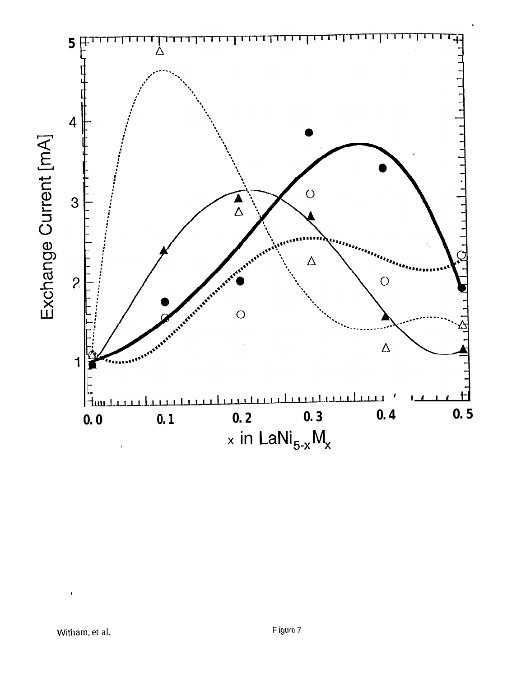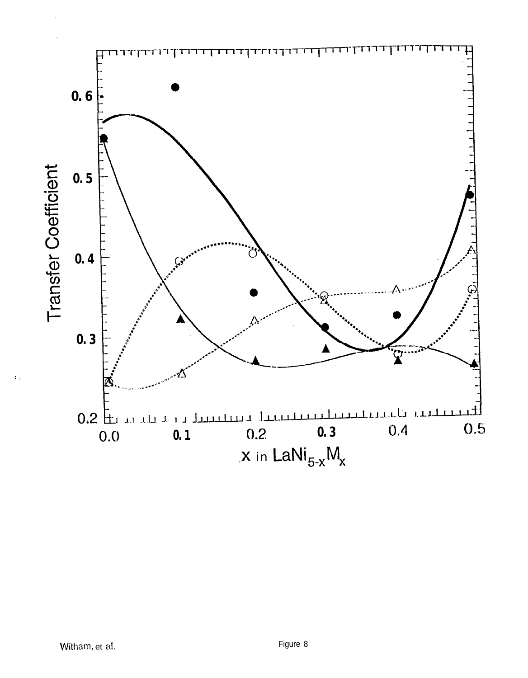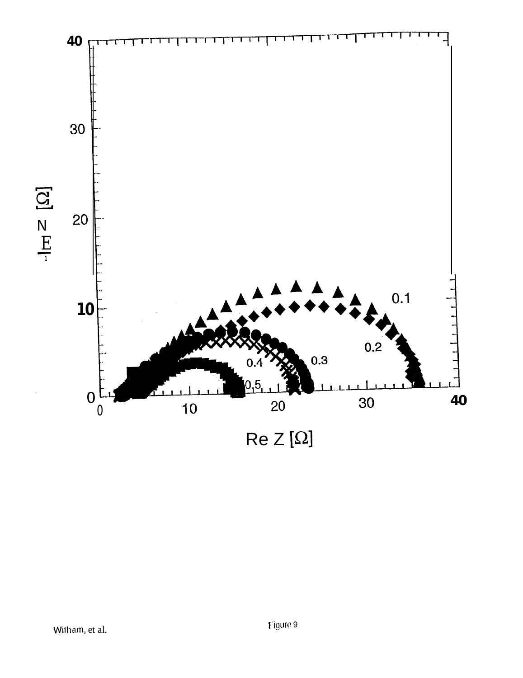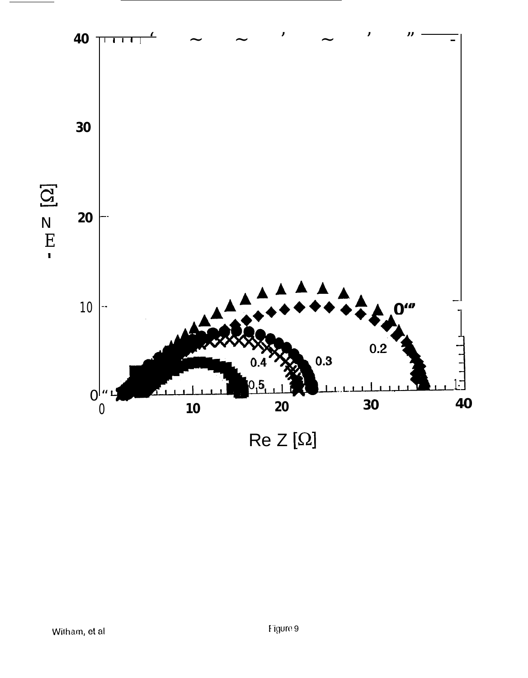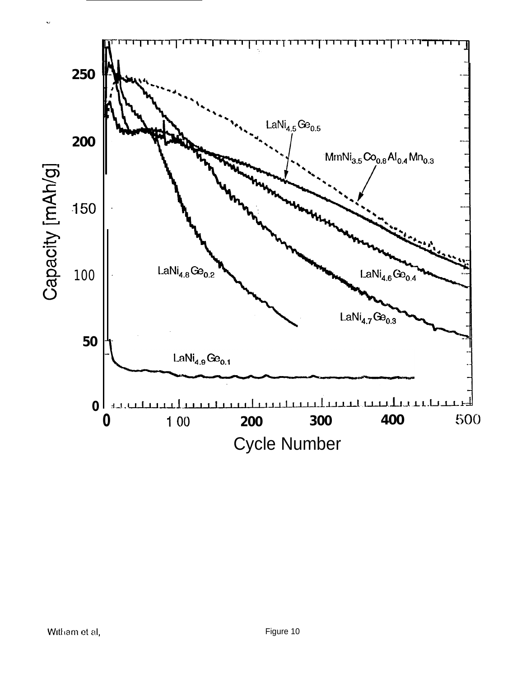